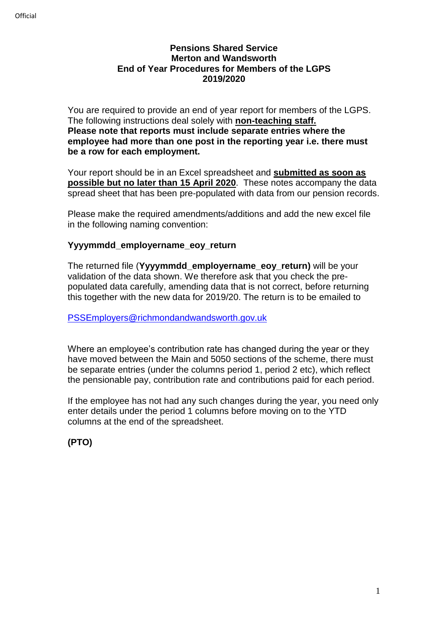#### **Pensions Shared Service Merton and Wandsworth End of Year Procedures for Members of the LGPS 2019/2020**

You are required to provide an end of year report for members of the LGPS. The following instructions deal solely with **non-teaching staff. Please note that reports must include separate entries where the employee had more than one post in the reporting year i.e. there must be a row for each employment.**

Your report should be in an Excel spreadsheet and **submitted as soon as possible but no later than 15 April 2020**. These notes accompany the data spread sheet that has been pre-populated with data from our pension records.

Please make the required amendments/additions and add the new excel file in the following naming convention:

#### **Yyyymmdd\_employername\_eoy\_return**

The returned file (**Yyyymmdd\_employername\_eoy\_return)** will be your validation of the data shown. We therefore ask that you check the prepopulated data carefully, amending data that is not correct, before returning this together with the new data for 2019/20. The return is to be emailed to

[PSSEmployers@richmondandwandsworth.gov.uk](mailto:PSSEmployers@richmondandwandsworth.gov.uk)

Where an employee's contribution rate has changed during the year or they have moved between the Main and 5050 sections of the scheme, there must be separate entries (under the columns period 1, period 2 etc), which reflect the pensionable pay, contribution rate and contributions paid for each period.

If the employee has not had any such changes during the year, you need only enter details under the period 1 columns before moving on to the YTD columns at the end of the spreadsheet.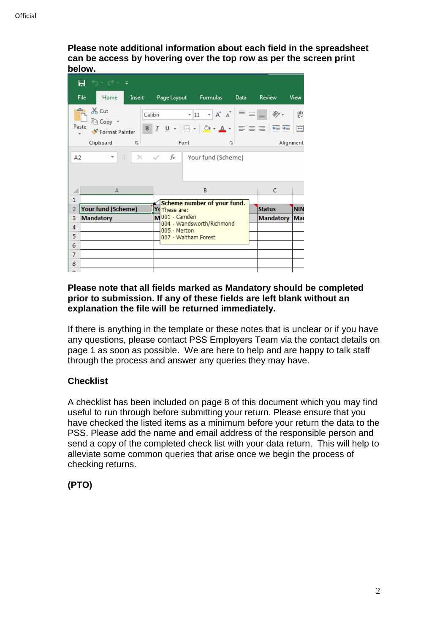**Please note additional information about each field in the spreadsheet can be access by hovering over the top row as per the screen print below.**

|                                                                                                                                                                                                                                                                                                                                                                                                                                                                                                                                 |                  | ⊟ ऽि'∂र∓           |  |                                           |                             |                  |               |            |  |
|---------------------------------------------------------------------------------------------------------------------------------------------------------------------------------------------------------------------------------------------------------------------------------------------------------------------------------------------------------------------------------------------------------------------------------------------------------------------------------------------------------------------------------|------------------|--------------------|--|-------------------------------------------|-----------------------------|------------------|---------------|------------|--|
|                                                                                                                                                                                                                                                                                                                                                                                                                                                                                                                                 | File <b>File</b> | Home               |  |                                           | Insert Page Layout Formulas | Data             | Review        | View       |  |
| $\rightarrow$ $\sim$ Cut<br>$\mathbf{y} \cdot \mathbf{u} \cdot \mathbf{v} = \mathbf{A} \cdot \mathbf{A} \cdot \mathbf{v}$<br>Calibri<br>le Copy +<br>B $I$ U $\cdot$ $\boxed{B}$ $\cdot$ $\boxed{\Diamond \cdot A \cdot}$ $\equiv$ $\equiv$ $\equiv$ $\boxed{\equiv}$ $\equiv$ $\boxed{\equiv}$<br>Paste<br>Format Painter<br>Clipboard 5<br>Font<br>Alignment<br>匠<br>$\begin{array}{ c c c c c }\n\hline\n\vdots & \mathbb{X} & \mathbb{\checkmark} & \mathbb{F} \mathbb{I} \end{array}$ Your fund (Scheme)<br>A <sub>2</sub> |                  |                    |  |                                           |                             |                  |               |            |  |
|                                                                                                                                                                                                                                                                                                                                                                                                                                                                                                                                 |                  | A                  |  |                                           | B                           |                  | C             |            |  |
| $\mathbf{1}$                                                                                                                                                                                                                                                                                                                                                                                                                                                                                                                    |                  |                    |  |                                           | Scheme number of your fund. |                  |               |            |  |
| $\overline{2}$                                                                                                                                                                                                                                                                                                                                                                                                                                                                                                                  |                  | Your fund (Scheme) |  | <b>Y</b> d These are:                     |                             |                  | <b>Status</b> | <b>NIN</b> |  |
| 3                                                                                                                                                                                                                                                                                                                                                                                                                                                                                                                               | <b>Mandatory</b> |                    |  | M 001 - Camden                            |                             | <b>Mandatory</b> | Mar           |            |  |
| 4                                                                                                                                                                                                                                                                                                                                                                                                                                                                                                                               |                  |                    |  | 004 - Wandsworth/Richmond<br>005 - Merton |                             |                  |               |            |  |
| 5                                                                                                                                                                                                                                                                                                                                                                                                                                                                                                                               | 6                |                    |  | 007 - Waltham Forest                      |                             |                  |               |            |  |
|                                                                                                                                                                                                                                                                                                                                                                                                                                                                                                                                 |                  |                    |  |                                           |                             |                  |               |            |  |
| 7                                                                                                                                                                                                                                                                                                                                                                                                                                                                                                                               |                  |                    |  |                                           |                             |                  |               |            |  |
| 8                                                                                                                                                                                                                                                                                                                                                                                                                                                                                                                               |                  |                    |  |                                           |                             |                  |               |            |  |
| $\sim$                                                                                                                                                                                                                                                                                                                                                                                                                                                                                                                          |                  |                    |  |                                           |                             |                  |               |            |  |

#### **Please note that all fields marked as Mandatory should be completed prior to submission. If any of these fields are left blank without an explanation the file will be returned immediately.**

If there is anything in the template or these notes that is unclear or if you have any questions, please contact PSS Employers Team via the contact details on page 1 as soon as possible. We are here to help and are happy to talk staff through the process and answer any queries they may have.

# **Checklist**

A checklist has been included on page 8 of this document which you may find useful to run through before submitting your return. Please ensure that you have checked the listed items as a minimum before your return the data to the PSS. Please add the name and email address of the responsible person and send a copy of the completed check list with your data return. This will help to alleviate some common queries that arise once we begin the process of checking returns.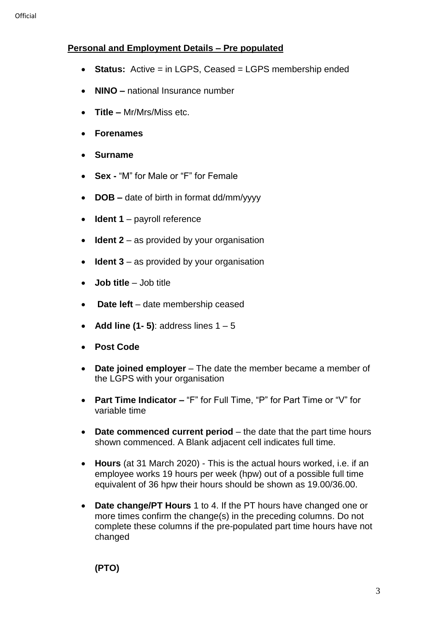# **Personal and Employment Details – Pre populated**

- Status: Active = in LGPS, Ceased = LGPS membership ended
- **NINO –** national Insurance number
- **Title –** Mr/Mrs/Miss etc.
- **Forenames**
- **Surname**
- **Sex -** "M" for Male or "F" for Female
- **DOB –** date of birth in format dd/mm/yyyy
- **Ident 1** payroll reference
- **Ident 2** as provided by your organisation
- **Ident 3** as provided by your organisation
- **Job title** Job title
- **Date left** date membership ceased
- **Add line (1- 5)**: address lines 1 5
- **Post Code**
- **Date joined employer** The date the member became a member of the LGPS with your organisation
- **Part Time Indicator –** "F" for Full Time, "P" for Part Time or "V" for variable time
- **Date commenced current period** the date that the part time hours shown commenced. A Blank adjacent cell indicates full time.
- **Hours** (at 31 March 2020) This is the actual hours worked, i.e. if an employee works 19 hours per week (hpw) out of a possible full time equivalent of 36 hpw their hours should be shown as 19.00/36.00.
- **Date change/PT Hours** 1 to 4. If the PT hours have changed one or more times confirm the change(s) in the preceding columns. Do not complete these columns if the pre-populated part time hours have not changed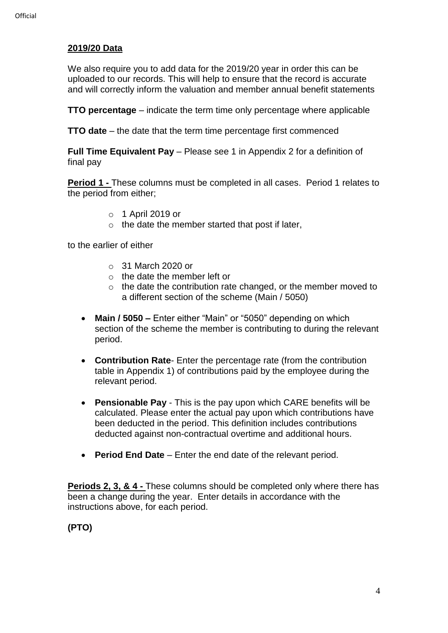# **2019/20 Data**

We also require you to add data for the 2019/20 year in order this can be uploaded to our records. This will help to ensure that the record is accurate and will correctly inform the valuation and member annual benefit statements

**TTO percentage** – indicate the term time only percentage where applicable

**TTO date** – the date that the term time percentage first commenced

**Full Time Equivalent Pay** – Please see 1 in Appendix 2 for a definition of final pay

**Period 1 -** These columns must be completed in all cases. Period 1 relates to the period from either;

- o 1 April 2019 or
- $\circ$  the date the member started that post if later,

to the earlier of either

- o 31 March 2020 or
- $\circ$  the date the member left or
- o the date the contribution rate changed, or the member moved to a different section of the scheme (Main / 5050)
- **Main / 5050 –** Enter either "Main" or "5050" depending on which section of the scheme the member is contributing to during the relevant period.
- **Contribution Rate** Enter the percentage rate (from the contribution table in Appendix 1) of contributions paid by the employee during the relevant period.
- **Pensionable Pay** This is the pay upon which CARE benefits will be calculated. Please enter the actual pay upon which contributions have been deducted in the period. This definition includes contributions deducted against non-contractual overtime and additional hours.
- **Period End Date** Enter the end date of the relevant period.

**Periods 2, 3, & 4 -** These columns should be completed only where there has been a change during the year. Enter details in accordance with the instructions above, for each period.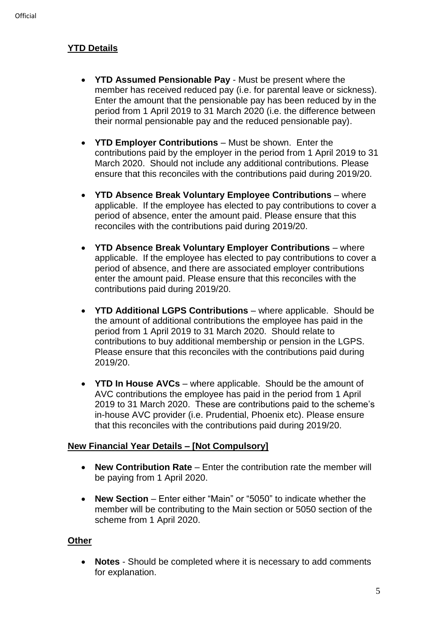# **YTD Details**

- **YTD Assumed Pensionable Pay** Must be present where the member has received reduced pay (i.e. for parental leave or sickness). Enter the amount that the pensionable pay has been reduced by in the period from 1 April 2019 to 31 March 2020 (i.e. the difference between their normal pensionable pay and the reduced pensionable pay).
- **YTD Employer Contributions**  Must be shown. Enter the contributions paid by the employer in the period from 1 April 2019 to 31 March 2020. Should not include any additional contributions. Please ensure that this reconciles with the contributions paid during 2019/20.
- **YTD Absence Break Voluntary Employee Contributions** where applicable. If the employee has elected to pay contributions to cover a period of absence, enter the amount paid. Please ensure that this reconciles with the contributions paid during 2019/20.
- **YTD Absence Break Voluntary Employer Contributions** where applicable. If the employee has elected to pay contributions to cover a period of absence, and there are associated employer contributions enter the amount paid. Please ensure that this reconciles with the contributions paid during 2019/20.
- **YTD Additional LGPS Contributions**  where applicable. Should be the amount of additional contributions the employee has paid in the period from 1 April 2019 to 31 March 2020. Should relate to contributions to buy additional membership or pension in the LGPS. Please ensure that this reconciles with the contributions paid during 2019/20.
- **YTD In House AVCs** where applicable. Should be the amount of AVC contributions the employee has paid in the period from 1 April 2019 to 31 March 2020. These are contributions paid to the scheme's in-house AVC provider (i.e. Prudential, Phoenix etc). Please ensure that this reconciles with the contributions paid during 2019/20.

# **New Financial Year Details – [Not Compulsory]**

- **New Contribution Rate** Enter the contribution rate the member will be paying from 1 April 2020.
- **New Section** Enter either "Main" or "5050" to indicate whether the member will be contributing to the Main section or 5050 section of the scheme from 1 April 2020.

#### **Other**

• **Notes** - Should be completed where it is necessary to add comments for explanation.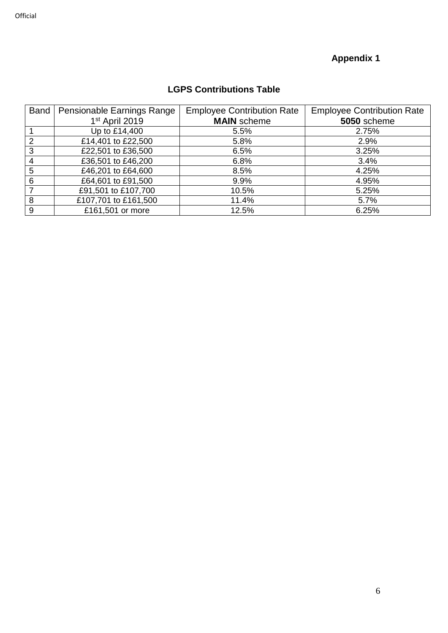# **Appendix 1**

# **LGPS Contributions Table**

| <b>Band</b>   | Pensionable Earnings Range | <b>Employee Contribution Rate</b> | <b>Employee Contribution Rate</b> |
|---------------|----------------------------|-----------------------------------|-----------------------------------|
|               | 1 <sup>st</sup> April 2019 | <b>MAIN</b> scheme                | 5050 scheme                       |
|               | Up to £14,400              | 5.5%                              | 2.75%                             |
| $\mathcal{P}$ | £14,401 to £22,500         | 5.8%                              | 2.9%                              |
| 3             | £22,501 to £36,500         | 6.5%                              | 3.25%                             |
| 4             | £36,501 to £46,200         | 6.8%                              | 3.4%                              |
| 5             | £46,201 to £64,600         | 8.5%                              | 4.25%                             |
| 6             | £64,601 to £91,500         | 9.9%                              | 4.95%                             |
|               | £91,501 to £107,700        | 10.5%                             | 5.25%                             |
| 8             | £107,701 to £161,500       | 11.4%                             | 5.7%                              |
| 9             | £161,501 or more           | 12.5%                             | 6.25%                             |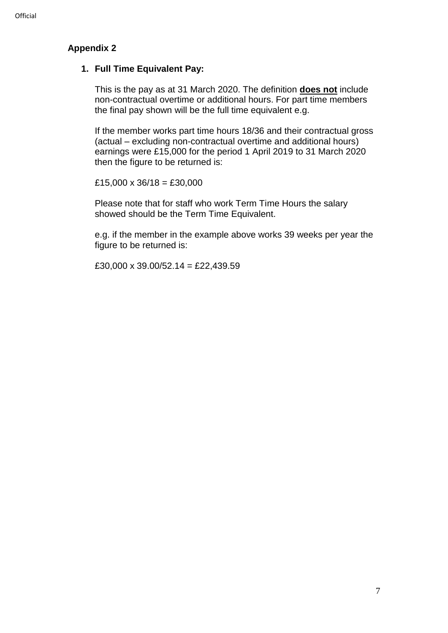#### **Appendix 2**

#### **1. Full Time Equivalent Pay:**

This is the pay as at 31 March 2020. The definition **does not** include non-contractual overtime or additional hours. For part time members the final pay shown will be the full time equivalent e.g.

If the member works part time hours 18/36 and their contractual gross (actual – excluding non-contractual overtime and additional hours) earnings were £15,000 for the period 1 April 2019 to 31 March 2020 then the figure to be returned is:

 $£15,000 \times 36/18 = £30,000$ 

Please note that for staff who work Term Time Hours the salary showed should be the Term Time Equivalent.

e.g. if the member in the example above works 39 weeks per year the figure to be returned is:

£30,000 x 39.00/52.14 = £22,439.59